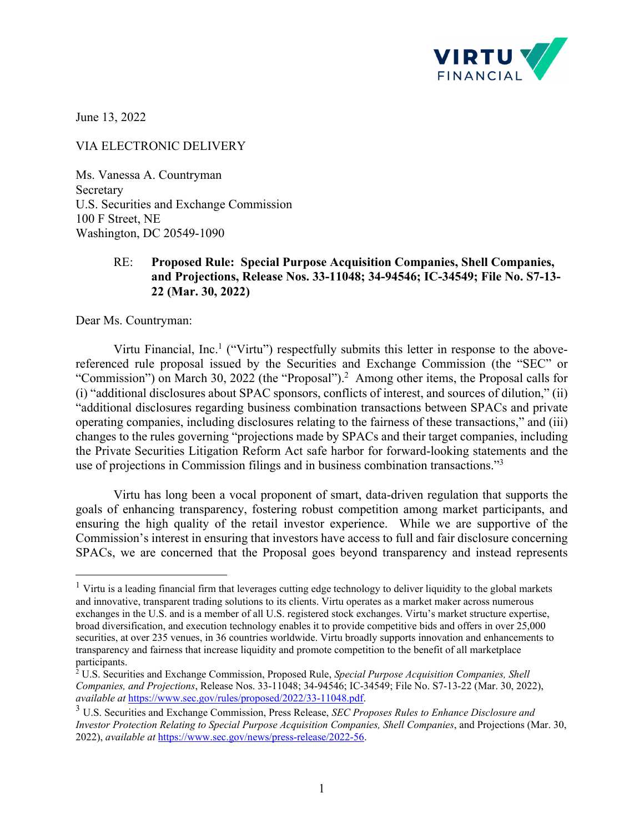

June 13, 2022

VIA ELECTRONIC DELIVERY

Ms. Vanessa A. Countryman Secretary U.S. Securities and Exchange Commission 100 F Street, NE Washington, DC 20549-1090

## RE: **Proposed Rule: Special Purpose Acquisition Companies, Shell Companies, and Projections, Release Nos. 33-11048; 34-94546; IC-34549; File No. S7-13- 22 (Mar. 30, 2022)**

Dear Ms. Countryman:

Virtu Financial, Inc.<sup>1</sup> ("Virtu") respectfully submits this letter in response to the abovereferenced rule proposal issued by the Securities and Exchange Commission (the "SEC" or "Commission") on March 30, 2022 (the "Proposal").<sup>2</sup> Among other items, the Proposal calls for (i) "additional disclosures about SPAC sponsors, conflicts of interest, and sources of dilution," (ii) "additional disclosures regarding business combination transactions between SPACs and private operating companies, including disclosures relating to the fairness of these transactions," and (iii) changes to the rules governing "projections made by SPACs and their target companies, including the Private Securities Litigation Reform Act safe harbor for forward-looking statements and the use of projections in Commission filings and in business combination transactions."3

Virtu has long been a vocal proponent of smart, data-driven regulation that supports the goals of enhancing transparency, fostering robust competition among market participants, and ensuring the high quality of the retail investor experience. While we are supportive of the Commission's interest in ensuring that investors have access to full and fair disclosure concerning SPACs, we are concerned that the Proposal goes beyond transparency and instead represents

<sup>&</sup>lt;sup>1</sup> Virtu is a leading financial firm that leverages cutting edge technology to deliver liquidity to the global markets and innovative, transparent trading solutions to its clients. Virtu operates as a market maker across numerous exchanges in the U.S. and is a member of all U.S. registered stock exchanges. Virtu's market structure expertise, broad diversification, and execution technology enables it to provide competitive bids and offers in over 25,000 securities, at over 235 venues, in 36 countries worldwide. Virtu broadly supports innovation and enhancements to transparency and fairness that increase liquidity and promote competition to the benefit of all marketplace

participants.<br><sup>2</sup> U.S. Securities and Exchange Commission, Proposed Rule, *Special Purpose Acquisition Companies, Shell Companies, and Projections*, Release Nos. 33-11048; 34-94546; IC-34549; File No. S7-13-22 (Mar. 30, 2022), *available at* https://www.sec.gov/rules/proposed/2022/33-11048.pdf. 3 U.S. Securities and Exchange Commission, Press Release, *SEC Proposes Rules to Enhance Disclosure and* 

*Investor Protection Relating to Special Purpose Acquisition Companies, Shell Companies*, and Projections (Mar. 30, 2022), *available at* https://www.sec.gov/news/press-release/2022-56.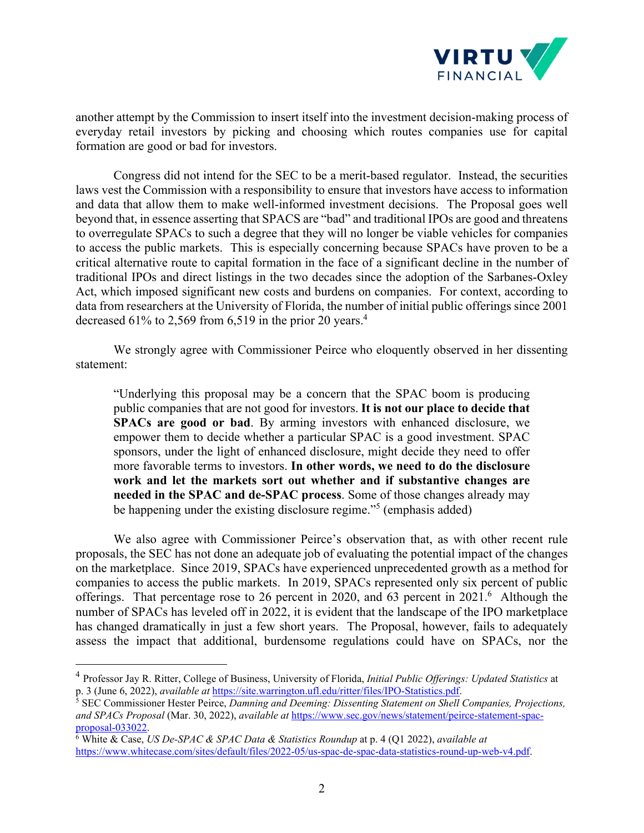

another attempt by the Commission to insert itself into the investment decision-making process of everyday retail investors by picking and choosing which routes companies use for capital formation are good or bad for investors.

Congress did not intend for the SEC to be a merit-based regulator. Instead, the securities laws vest the Commission with a responsibility to ensure that investors have access to information and data that allow them to make well-informed investment decisions. The Proposal goes well beyond that, in essence asserting that SPACS are "bad" and traditional IPOs are good and threatens to overregulate SPACs to such a degree that they will no longer be viable vehicles for companies to access the public markets. This is especially concerning because SPACs have proven to be a critical alternative route to capital formation in the face of a significant decline in the number of traditional IPOs and direct listings in the two decades since the adoption of the Sarbanes-Oxley Act, which imposed significant new costs and burdens on companies. For context, according to data from researchers at the University of Florida, the number of initial public offerings since 2001 decreased 61% to 2,569 from 6,519 in the prior 20 years.<sup>4</sup>

We strongly agree with Commissioner Peirce who eloquently observed in her dissenting statement:

"Underlying this proposal may be a concern that the SPAC boom is producing public companies that are not good for investors. **It is not our place to decide that SPACs are good or bad**. By arming investors with enhanced disclosure, we empower them to decide whether a particular SPAC is a good investment. SPAC sponsors, under the light of enhanced disclosure, might decide they need to offer more favorable terms to investors. **In other words, we need to do the disclosure work and let the markets sort out whether and if substantive changes are needed in the SPAC and de-SPAC process**. Some of those changes already may be happening under the existing disclosure regime."<sup>5</sup> (emphasis added)

We also agree with Commissioner Peirce's observation that, as with other recent rule proposals, the SEC has not done an adequate job of evaluating the potential impact of the changes on the marketplace. Since 2019, SPACs have experienced unprecedented growth as a method for companies to access the public markets. In 2019, SPACs represented only six percent of public offerings. That percentage rose to 26 percent in 2020, and 63 percent in  $2021$ .<sup>6</sup> Although the number of SPACs has leveled off in 2022, it is evident that the landscape of the IPO marketplace has changed dramatically in just a few short years. The Proposal, however, fails to adequately assess the impact that additional, burdensome regulations could have on SPACs, nor the

<sup>4</sup> Professor Jay R. Ritter, College of Business, University of Florida, *Initial Public Offerings: Updated Statistics* at p. 3 (June 6, 2022), *available at* https://site.warrington.ufl.edu/ritter/files/IPO-Statistics.pdf.

<sup>5</sup> SEC Commissioner Hester Peirce, *Damning and Deeming: Dissenting Statement on Shell Companies, Projections, and SPACs Proposal* (Mar. 30, 2022), *available at* https://www.sec.gov/news/statement/peirce-statement-spac $proposal-033022$ .

White & Case, *US De-SPAC & SPAC Data & Statistics Roundup* at p. 4 (Q1 2022), *available at* https://www.whitecase.com/sites/default/files/2022-05/us-spac-de-spac-data-statistics-round-up-web-v4.pdf.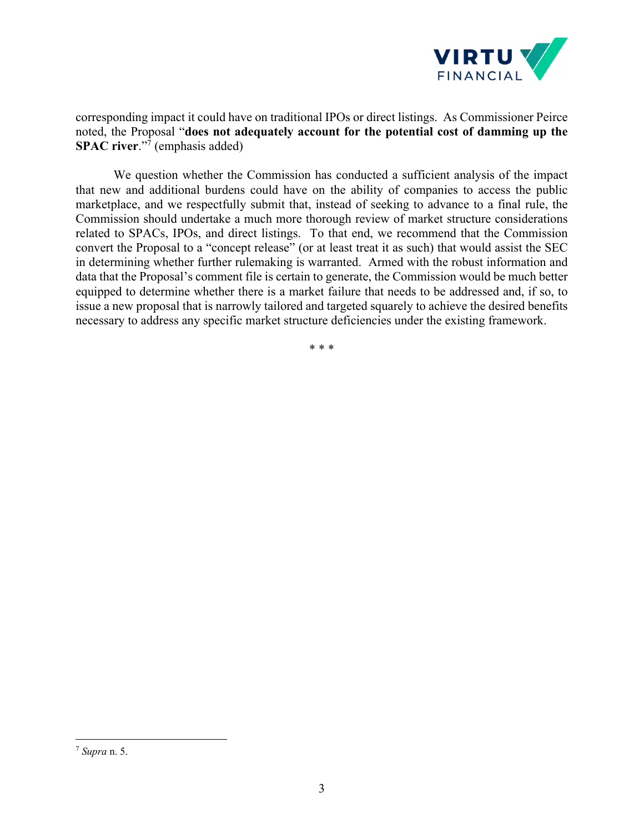

corresponding impact it could have on traditional IPOs or direct listings. As Commissioner Peirce noted, the Proposal "**does not adequately account for the potential cost of damming up the SPAC river.**"<sup>7</sup> (emphasis added)

We question whether the Commission has conducted a sufficient analysis of the impact that new and additional burdens could have on the ability of companies to access the public marketplace, and we respectfully submit that, instead of seeking to advance to a final rule, the Commission should undertake a much more thorough review of market structure considerations related to SPACs, IPOs, and direct listings. To that end, we recommend that the Commission convert the Proposal to a "concept release" (or at least treat it as such) that would assist the SEC in determining whether further rulemaking is warranted. Armed with the robust information and data that the Proposal's comment file is certain to generate, the Commission would be much better equipped to determine whether there is a market failure that needs to be addressed and, if so, to issue a new proposal that is narrowly tailored and targeted squarely to achieve the desired benefits necessary to address any specific market structure deficiencies under the existing framework.

\* \* \*

<sup>7</sup> *Supra* n. 5.